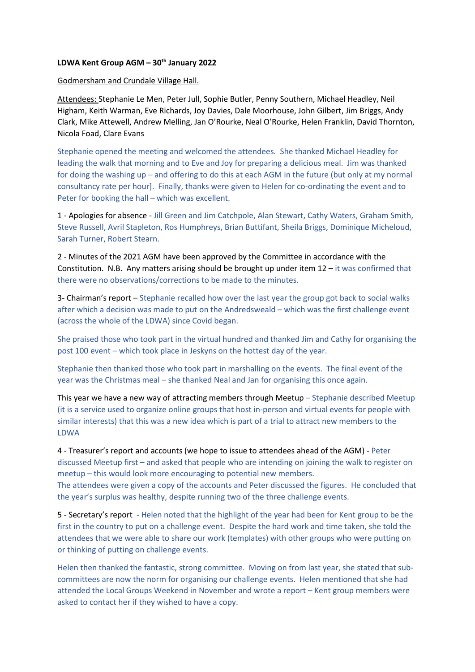## **LDWA Kent Group AGM – 30th January 2022**

## Godmersham and Crundale Village Hall.

Attendees: Stephanie Le Men, Peter Jull, Sophie Butler, Penny Southern, Michael Headley, Neil Higham, Keith Warman, Eve Richards, Joy Davies, Dale Moorhouse, John Gilbert, Jim Briggs, Andy Clark, Mike Attewell, Andrew Melling, Jan O'Rourke, Neal O'Rourke, Helen Franklin, David Thornton, Nicola Foad, Clare Evans

Stephanie opened the meeting and welcomed the attendees. She thanked Michael Headley for leading the walk that morning and to Eve and Joy for preparing a delicious meal. Jim was thanked for doing the washing up – and offering to do this at each AGM in the future (but only at my normal consultancy rate per hour]. Finally, thanks were given to Helen for co-ordinating the event and to Peter for booking the hall – which was excellent.

1 - Apologies for absence - Jill Green and Jim Catchpole, Alan Stewart, Cathy Waters, Graham Smith, Steve Russell, Avril Stapleton, Ros Humphreys, Brian Buttifant, Sheila Briggs, Dominique Micheloud, Sarah Turner, Robert Stearn.

2 - Minutes of the 2021 AGM have been approved by the Committee in accordance with the Constitution. N.B. Any matters arising should be brought up under item 12 – it was confirmed that there were no observations/corrections to be made to the minutes.

3- Chairman's report – Stephanie recalled how over the last year the group got back to social walks after which a decision was made to put on the Andredsweald – which was the first challenge event (across the whole of the LDWA) since Covid began.

She praised those who took part in the virtual hundred and thanked Jim and Cathy for organising the post 100 event – which took place in Jeskyns on the hottest day of the year.

Stephanie then thanked those who took part in marshalling on the events. The final event of the year was the Christmas meal – she thanked Neal and Jan for organising this once again.

This year we have a new way of attracting members through Meetup – Stephanie described Meetup (it is a service used to organize online groups that host in-person and virtual events for people with similar interests) that this was a new idea which is part of a trial to attract new members to the LDWA

4 - Treasurer's report and accounts (we hope to issue to attendees ahead of the AGM) - Peter discussed Meetup first – and asked that people who are intending on joining the walk to register on meetup – this would look more encouraging to potential new members.

The attendees were given a copy of the accounts and Peter discussed the figures. He concluded that the year's surplus was healthy, despite running two of the three challenge events.

5 - Secretary's report - Helen noted that the highlight of the year had been for Kent group to be the first in the country to put on a challenge event. Despite the hard work and time taken, she told the attendees that we were able to share our work (templates) with other groups who were putting on or thinking of putting on challenge events.

Helen then thanked the fantastic, strong committee. Moving on from last year, she stated that subcommittees are now the norm for organising our challenge events. Helen mentioned that she had attended the Local Groups Weekend in November and wrote a report – Kent group members were asked to contact her if they wished to have a copy.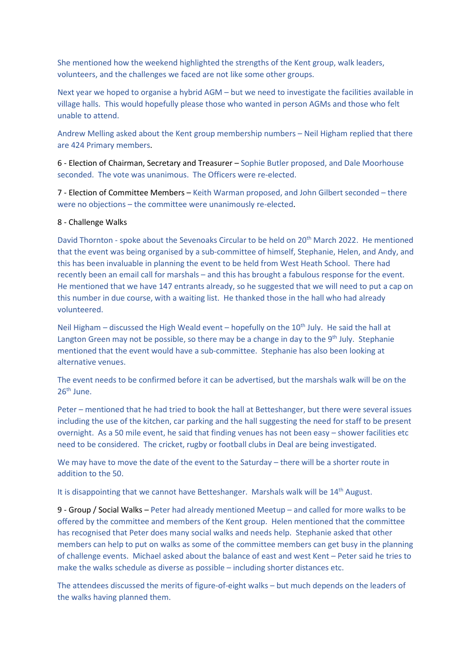She mentioned how the weekend highlighted the strengths of the Kent group, walk leaders, volunteers, and the challenges we faced are not like some other groups.

Next year we hoped to organise a hybrid AGM – but we need to investigate the facilities available in village halls. This would hopefully please those who wanted in person AGMs and those who felt unable to attend.

Andrew Melling asked about the Kent group membership numbers – Neil Higham replied that there are 424 Primary members.

6 - Election of Chairman, Secretary and Treasurer – Sophie Butler proposed, and Dale Moorhouse seconded. The vote was unanimous. The Officers were re-elected.

7 - Election of Committee Members – Keith Warman proposed, and John Gilbert seconded – there were no objections – the committee were unanimously re-elected.

## 8 - Challenge Walks

David Thornton - spoke about the Sevenoaks Circular to be held on 20<sup>th</sup> March 2022. He mentioned that the event was being organised by a sub-committee of himself, Stephanie, Helen, and Andy, and this has been invaluable in planning the event to be held from West Heath School. There had recently been an email call for marshals – and this has brought a fabulous response for the event. He mentioned that we have 147 entrants already, so he suggested that we will need to put a cap on this number in due course, with a waiting list. He thanked those in the hall who had already volunteered.

Neil Higham – discussed the High Weald event – hopefully on the  $10<sup>th</sup>$  July. He said the hall at Langton Green may not be possible, so there may be a change in day to the  $9<sup>th</sup>$  July. Stephanie mentioned that the event would have a sub-committee. Stephanie has also been looking at alternative venues.

The event needs to be confirmed before it can be advertised, but the marshals walk will be on the 26th June.

Peter – mentioned that he had tried to book the hall at Betteshanger, but there were several issues including the use of the kitchen, car parking and the hall suggesting the need for staff to be present overnight. As a 50 mile event, he said that finding venues has not been easy – shower facilities etc need to be considered. The cricket, rugby or football clubs in Deal are being investigated.

We may have to move the date of the event to the Saturday – there will be a shorter route in addition to the 50.

It is disappointing that we cannot have Betteshanger. Marshals walk will be 14<sup>th</sup> August.

9 - Group / Social Walks – Peter had already mentioned Meetup – and called for more walks to be offered by the committee and members of the Kent group. Helen mentioned that the committee has recognised that Peter does many social walks and needs help. Stephanie asked that other members can help to put on walks as some of the committee members can get busy in the planning of challenge events. Michael asked about the balance of east and west Kent – Peter said he tries to make the walks schedule as diverse as possible – including shorter distances etc.

The attendees discussed the merits of figure-of-eight walks – but much depends on the leaders of the walks having planned them.